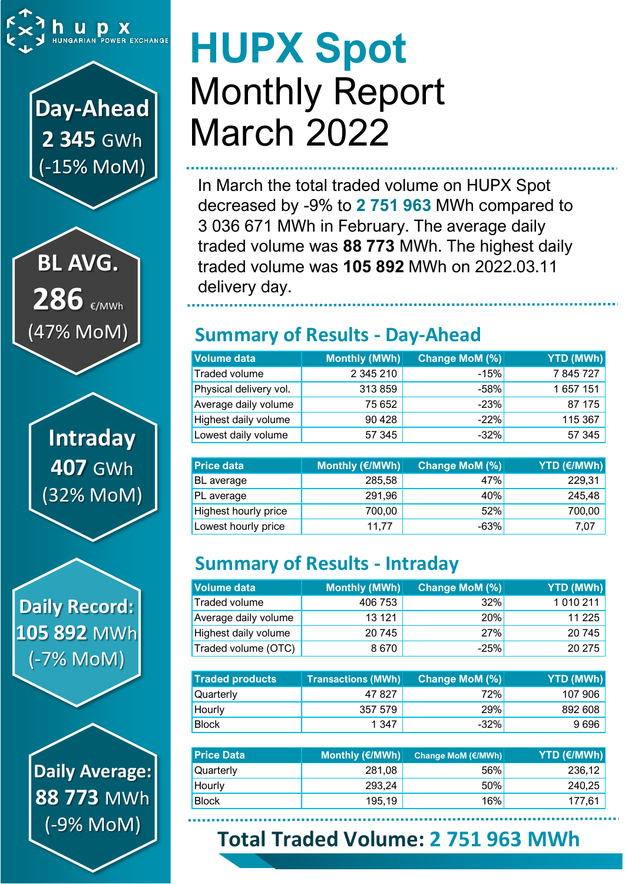

# **Day-Ahead 2 345** GWh (-15% MoM)

**BL AVG.** 286 €/MWh (47% MoM)

> **Intraday 407** GWh (32% MoM)

**Daily Record: 105 892** MWh (-7% MoM)

> **Daily Average: 88 773** MWh (-9% MoM)

# **HUPX Spot** Monthly Report March 2022

In March the total traded volume on HUPX Spot decreased by -9% to **2 751 963** MWh compared to 3 036 671 MWh in February. The average daily traded volume was **88 773** MWh. The highest daily traded volume was **105 892** MWh on 2022.03.11 delivery day.

### **Summary of Results - Day-Ahead**

| Volume data            | Monthly (MWh) | Change MoM (%) | YTD (MWh) |
|------------------------|---------------|----------------|-----------|
| Traded volume          | 2 345 210     | $-15%$         | 7845727   |
| Physical delivery vol. | 313859        | $-58%$         | 1 657 151 |
| Average daily volume   | 75 652        | $-23%$         | 87 175    |
| Highest daily volume   | 90 4 28       | $-22%$         | 115 367   |
| Lowest daily volume    | 57 345        | $-32%$         | 57 345    |

| <b>Price data</b>    | Monthly (€/MWh) | Change MoM (%) | YTD (€/MWh) |
|----------------------|-----------------|----------------|-------------|
| BL average           | 285,58          | 47%            | 229,31      |
| PL average           | 291,96          | 40%            | 245,48      |
| Highest hourly price | 700,00          | 52%            | 700,00      |
| Lowest hourly price  | 11,77           | $-63%$         | 7,07        |

### **Summary of Results - Intraday**

| Volume data          | Monthly (MWh) | <b>Change MoM (%)</b> | <b>YTD (MWh)</b> |
|----------------------|---------------|-----------------------|------------------|
| Traded volume        | 406 753       | 32%                   | 1 0 1 0 2 1 1    |
| Average daily volume | 13 121        | 20%                   | 11 2 25          |
| Highest daily volume | 20745         | 27%                   | 20745            |
| Traded volume (OTC)  | 8670          | $-25%$                | 20 275           |

| <b>Traded products</b> |         | <b>Change MoM (%)</b> | <b>YTD (MWh)</b> |
|------------------------|---------|-----------------------|------------------|
| <b>Quarterly</b>       | 47 827  | 72%                   | 107 906          |
| Hourly                 | 357 579 | 29%                   | 892 608          |
| <b>Block</b>           | 1 347   | $-32%$                | 9696             |

| <b>Price Data</b> | Monthly (€/MWh) | Change MoM (€/MWh) | <b>YTD (€/MWh)</b> |
|-------------------|-----------------|--------------------|--------------------|
| Quarterly         | 281,08          | 56%                | 236,12             |
| Hourly            | 293,24          | 50%                | 240,25             |
| <b>Block</b>      | 195,19          | 16%                | 177,61             |

## **Total Traded Volume: 2 751 963 MWh**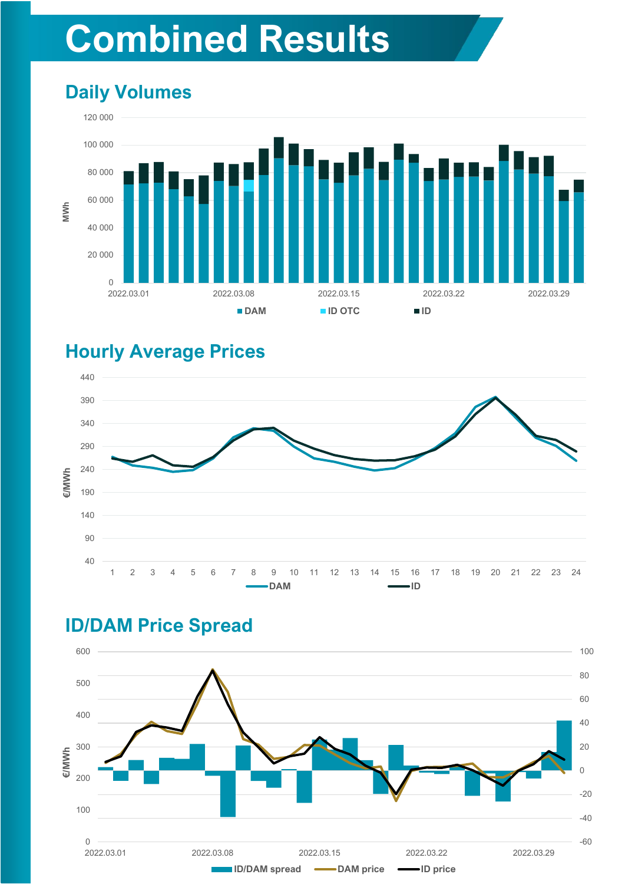# **Combined Results**

### **Daily Volumes**



#### **Hourly Average Prices**



### **ID/DAM Price Spread**

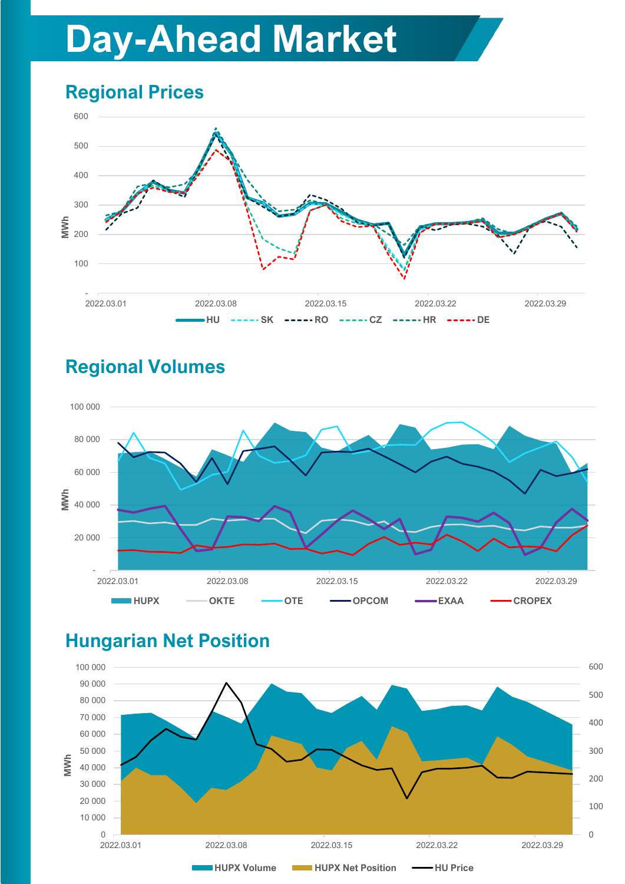# **Day-Ahead Market**

### **Regional Prices**



### **Regional Volumes**



#### **Hungarian Net Position**

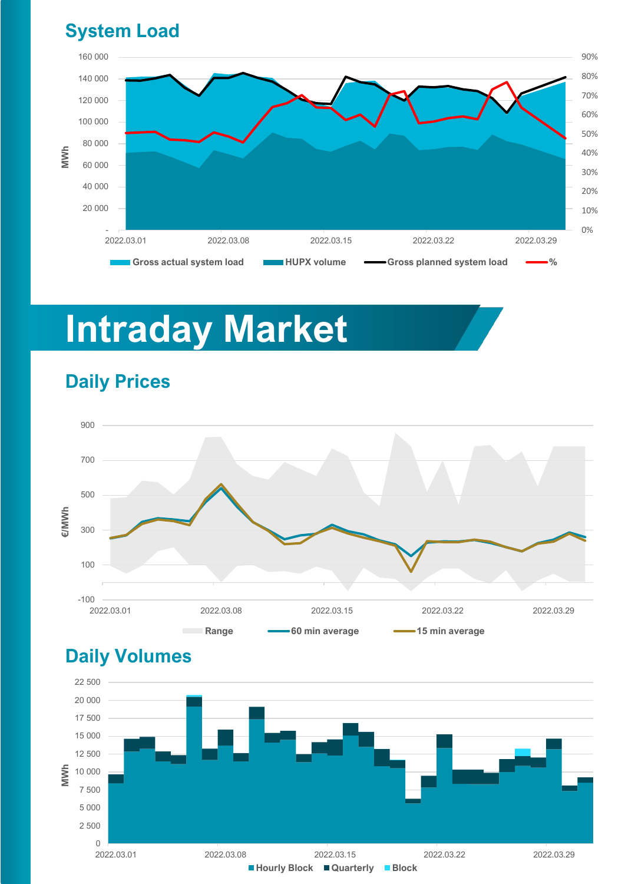### **System Load**



# **Intraday Market**



#### **Daily Prices**